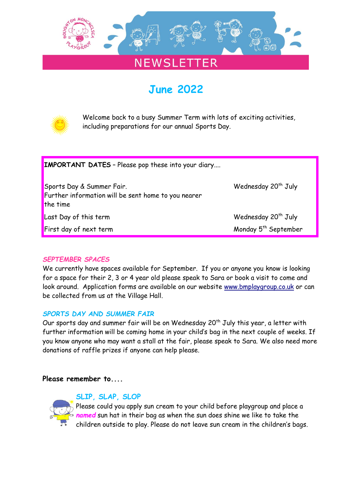

## **NEWSLETTER**

# **June 2022**



Welcome back to a busy Summer Term with lots of exciting activities, including preparations for our annual Sports Day.

| <b>IMPORTANT DATES</b> - Please pop these into your diary                                    |                                  |
|----------------------------------------------------------------------------------------------|----------------------------------|
| Sports Day & Summer Fair.<br>Further information will be sent home to you nearer<br>the time | Wednesday 20 <sup>th</sup> July  |
| Last Day of this term                                                                        | Wednesday 20 <sup>th</sup> July  |
| <b>First day of next term</b>                                                                | Monday 5 <sup>th</sup> September |

#### *SEPTEMBER SPACES*

We currently have spaces available for September. If you or anyone you know is looking for a space for their 2, 3 or 4 year old please speak to Sara or book a visit to come and look around. Application forms are available on our website [www.bmplaygroup.co.uk](http://www.bmplaygroup.co.uk/) or can be collected from us at the Village Hall.

#### *SPORTS DAY AND SUMMER FAIR*

Our sports day and summer fair will be on Wednesday 20<sup>th</sup> July this year, a letter with further information will be coming home in your child's bag in the next couple of weeks. If you know anyone who may want a stall at the fair, please speak to Sara. We also need more donations of raffle prizes if anyone can help please.

#### **Please remember to....**



#### **SLIP, SLAP, SLOP**

Please could you apply sun cream to your child before playgroup and place a *named* sun hat in their bag as when the sun does shine we like to take the children outside to play. Please do not leave sun cream in the children's bags.